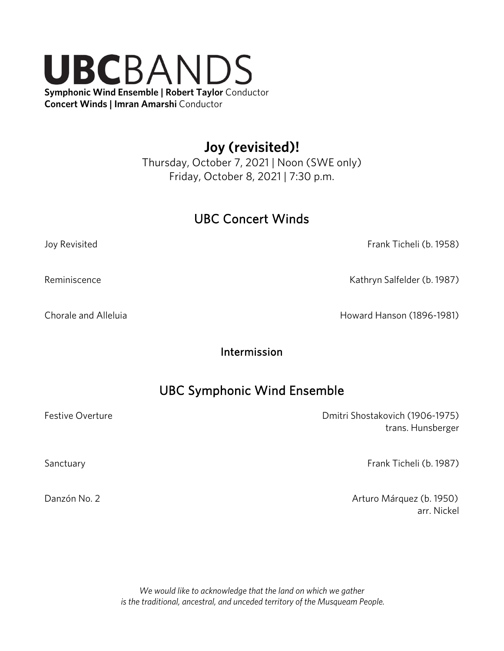# UBCBANDS **Symphonic Wind Ensemble** | **Robert Taylor** Conductor **Concert Winds** | **Imran Amarshi** Conductor

**Joy (revisited)!**

Thursday, October 7, 2021 | Noon (SWE only) Friday, October 8, 2021 | 7:30 p.m.

## UBC Concert Winds

Joy Revisited Frank Ticheli (b. 1958)

Reminiscence **Kathryn Salfelder (b. 1987**)

Chorale and Alleluia **Howard Hanson (1896-1981)** 

Intermission

# UBC Symphonic Wind Ensemble

Festive Overture **Details and Contract Contract Contract Contract Contract Contract Contract Contract Contract Contract Contract Contract Contract Contract Contract Contract Contract Contract Contract Contract Contract Con** trans. Hunsberger

Sanctuary Frank Ticheli (b. 1987)

Danzón No. 2 **Danzón No. 2** Arturo Márquez (b. 1950) arr. Nickel

> *We would like to acknowledge that the land on which we gather is the traditional, ancestral, and unceded territory of the Musqueam People.*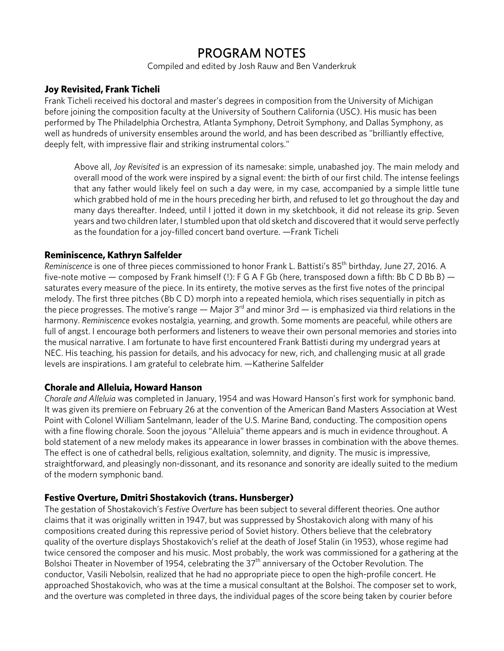## PROGRAM NOTES

Compiled and edited by Josh Rauw and Ben Vanderkruk

## **Joy Revisited, Frank Ticheli**

Frank Ticheli received his doctoral and master's degrees in composition from the University of Michigan before joining the composition faculty at the University of Southern California (USC). His music has been performed by The Philadelphia Orchestra, Atlanta Symphony, Detroit Symphony, and Dallas Symphony, as well as hundreds of university ensembles around the world, and has been described as "brilliantly effective, deeply felt, with impressive flair and striking instrumental colors."

Above all, *Joy Revisited* is an expression of its namesake: simple, unabashed joy. The main melody and overall mood of the work were inspired by a signal event: the birth of our first child. The intense feelings that any father would likely feel on such a day were, in my case, accompanied by a simple little tune which grabbed hold of me in the hours preceding her birth, and refused to let go throughout the day and many days thereafter. Indeed, until I jotted it down in my sketchbook, it did not release its grip. Seven years and two children later, I stumbled upon that old sketch and discovered that it would serve perfectly as the foundation for a joy-filled concert band overture. —Frank Ticheli

## **Reminiscence, Kathryn Salfelder**

*Reminiscence* is one of three pieces commissioned to honor Frank L. Battisti's 85<sup>th</sup> birthday, June 27, 2016. A five-note motive — composed by Frank himself (!): F G A F Gb (here, transposed down a fifth: Bb C D Bb B) saturates every measure of the piece. In its entirety, the motive serves as the first five notes of the principal melody. The first three pitches (Bb C D) morph into a repeated hemiola, which rises sequentially in pitch as the piece progresses. The motive's range — Major  $3^{rd}$  and minor 3rd — is emphasized via third relations in the harmony. *Reminiscence* evokes nostalgia, yearning, and growth. Some moments are peaceful, while others are full of angst. I encourage both performers and listeners to weave their own personal memories and stories into the musical narrative. I am fortunate to have first encountered Frank Battisti during my undergrad years at NEC. His teaching, his passion for details, and his advocacy for new, rich, and challenging music at all grade levels are inspirations. I am grateful to celebrate him. —Katherine Salfelder

## **Chorale and Alleluia, Howard Hanson**

*Chorale and Alleluia* was completed in January, 1954 and was Howard Hanson's first work for symphonic band. It was given its premiere on February 26 at the convention of the American Band Masters Association at West Point with Colonel William Santelmann, leader of the U.S. Marine Band, conducting. The composition opens with a fine flowing chorale. Soon the joyous "Alleluia" theme appears and is much in evidence throughout. A bold statement of a new melody makes its appearance in lower brasses in combination with the above themes. The effect is one of cathedral bells, religious exaltation, solemnity, and dignity. The music is impressive, straightforward, and pleasingly non-dissonant, and its resonance and sonority are ideally suited to the medium of the modern symphonic band.

## **Festive Overture, Dmitri Shostakovich (trans. Hunsberger)**

The gestation of Shostakovich's *Festive Overture* has been subject to several different theories. One author claims that it was originally written in 1947, but was suppressed by Shostakovich along with many of his compositions created during this repressive period of Soviet history. Others believe that the celebratory quality of the overture displays Shostakovich's relief at the death of Josef Stalin (in 1953), whose regime had twice censored the composer and his music. Most probably, the work was commissioned for a gathering at the Bolshoi Theater in November of 1954, celebrating the 37<sup>th</sup> anniversary of the October Revolution. The conductor, Vasili Nebolsin, realized that he had no appropriate piece to open the high-profile concert. He approached Shostakovich, who was at the time a musical consultant at the Bolshoi. The composer set to work, and the overture was completed in three days, the individual pages of the score being taken by courier before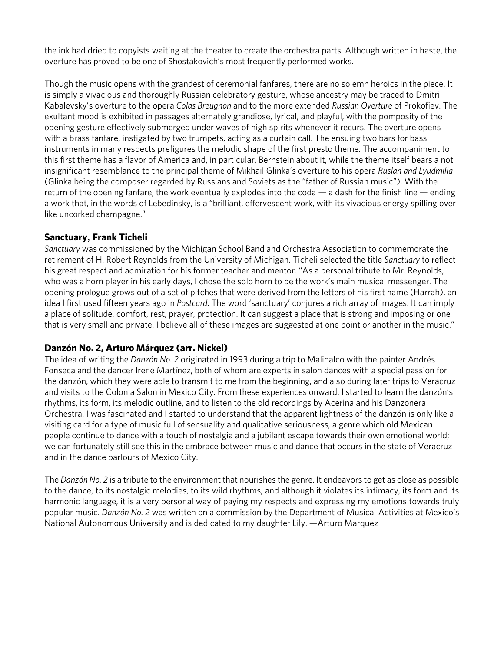the ink had dried to copyists waiting at the theater to create the orchestra parts. Although written in haste, the overture has proved to be one of Shostakovich's most frequently performed works.

Though the music opens with the grandest of ceremonial fanfares, there are no solemn heroics in the piece. It is simply a vivacious and thoroughly Russian celebratory gesture, whose ancestry may be traced to Dmitri Kabalevsky's overture to the opera *Colas Breugnon* and to the more extended *Russian Overture* of Prokofiev. The exultant mood is exhibited in passages alternately grandiose, lyrical, and playful, with the pomposity of the opening gesture effectively submerged under waves of high spirits whenever it recurs. The overture opens with a brass fanfare, instigated by two trumpets, acting as a curtain call. The ensuing two bars for bass instruments in many respects prefigures the melodic shape of the first presto theme. The accompaniment to this first theme has a flavor of America and, in particular, Bernstein about it, while the theme itself bears a not insignificant resemblance to the principal theme of Mikhail Glinka's overture to his opera *Ruslan and Lyudmilla*  (Glinka being the composer regarded by Russians and Soviets as the "father of Russian music"). With the return of the opening fanfare, the work eventually explodes into the coda — a dash for the finish line — ending a work that, in the words of Lebedinsky, is a "brilliant, effervescent work, with its vivacious energy spilling over like uncorked champagne."

## **Sanctuary, Frank Ticheli**

*Sanctuary* was commissioned by the Michigan School Band and Orchestra Association to commemorate the retirement of H. Robert Reynolds from the University of Michigan. Ticheli selected the title *Sanctuary* to reflect his great respect and admiration for his former teacher and mentor. "As a personal tribute to Mr. Reynolds, who was a horn player in his early days, I chose the solo horn to be the work's main musical messenger. The opening prologue grows out of a set of pitches that were derived from the letters of his first name (Harrah), an idea I first used fifteen years ago in *Postcard*. The word 'sanctuary' conjures a rich array of images. It can imply a place of solitude, comfort, rest, prayer, protection. It can suggest a place that is strong and imposing or one that is very small and private. I believe all of these images are suggested at one point or another in the music."

## **Danzón No. 2, Arturo Márquez (arr. Nickel)**

The idea of writing the *Danzón No. 2* originated in 1993 during a trip to Malinalco with the painter Andrés Fonseca and the dancer Irene Martínez, both of whom are experts in salon dances with a special passion for the danzón, which they were able to transmit to me from the beginning, and also during later trips to Veracruz and visits to the Colonia Salon in Mexico City. From these experiences onward, I started to learn the danzón's rhythms, its form, its melodic outline, and to listen to the old recordings by Acerina and his Danzonera Orchestra. I was fascinated and I started to understand that the apparent lightness of the danzón is only like a visiting card for a type of music full of sensuality and qualitative seriousness, a genre which old Mexican people continue to dance with a touch of nostalgia and a jubilant escape towards their own emotional world; we can fortunately still see this in the embrace between music and dance that occurs in the state of Veracruz and in the dance parlours of Mexico City.

The *Danzón No. 2* is a tribute to the environment that nourishes the genre. It endeavors to get as close as possible to the dance, to its nostalgic melodies, to its wild rhythms, and although it violates its intimacy, its form and its harmonic language, it is a very personal way of paying my respects and expressing my emotions towards truly popular music. *Danzón No. 2* was written on a commission by the Department of Musical Activities at Mexico's National Autonomous University and is dedicated to my daughter Lily. —Arturo Marquez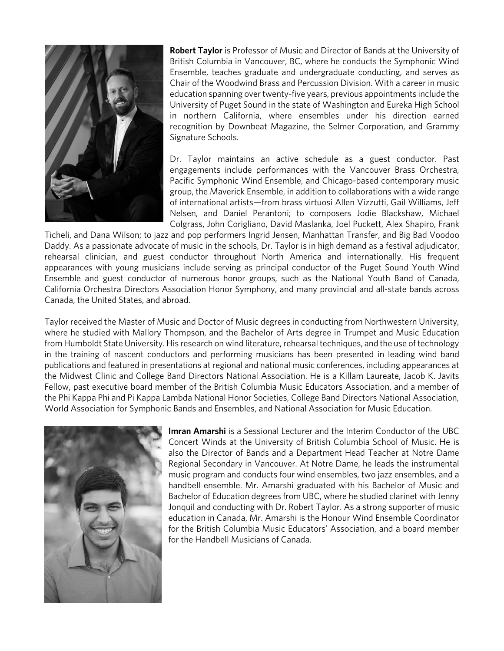

**Robert Taylor** is Professor of Music and Director of Bands at the University of British Columbia in Vancouver, BC, where he conducts the Symphonic Wind Ensemble, teaches graduate and undergraduate conducting, and serves as Chair of the Woodwind Brass and Percussion Division. With a career in music education spanning over twenty-five years, previous appointments include the University of Puget Sound in the state of Washington and Eureka High School in northern California, where ensembles under his direction earned recognition by Downbeat Magazine, the Selmer Corporation, and Grammy Signature Schools.

Dr. Taylor maintains an active schedule as a guest conductor. Past engagements include performances with the Vancouver Brass Orchestra, Pacific Symphonic Wind Ensemble, and Chicago-based contemporary music group, the Maverick Ensemble, in addition to collaborations with a wide range of international artists—from brass virtuosi Allen Vizzutti, Gail Williams, Jeff Nelsen, and Daniel Perantoni; to composers Jodie Blackshaw, Michael Colgrass, John Corigliano, David Maslanka, Joel Puckett, Alex Shapiro, Frank

Ticheli, and Dana Wilson; to jazz and pop performers Ingrid Jensen, Manhattan Transfer, and Big Bad Voodoo Daddy. As a passionate advocate of music in the schools, Dr. Taylor is in high demand as a festival adjudicator, rehearsal clinician, and guest conductor throughout North America and internationally. His frequent appearances with young musicians include serving as principal conductor of the Puget Sound Youth Wind Ensemble and guest conductor of numerous honor groups, such as the National Youth Band of Canada, California Orchestra Directors Association Honor Symphony, and many provincial and all-state bands across Canada, the United States, and abroad.

Taylor received the Master of Music and Doctor of Music degrees in conducting from Northwestern University, where he studied with Mallory Thompson, and the Bachelor of Arts degree in Trumpet and Music Education from Humboldt State University. His research on wind literature, rehearsal techniques, and the use of technology in the training of nascent conductors and performing musicians has been presented in leading wind band publications and featured in presentations at regional and national music conferences, including appearances at the Midwest Clinic and College Band Directors National Association. He is a Killam Laureate, Jacob K. Javits Fellow, past executive board member of the British Columbia Music Educators Association, and a member of the Phi Kappa Phi and Pi Kappa Lambda National Honor Societies, College Band Directors National Association, World Association for Symphonic Bands and Ensembles, and National Association for Music Education.



**Imran Amarshi** is a Sessional Lecturer and the Interim Conductor of the UBC Concert Winds at the University of British Columbia School of Music. He is also the Director of Bands and a Department Head Teacher at Notre Dame Regional Secondary in Vancouver. At Notre Dame, he leads the instrumental music program and conducts four wind ensembles, two jazz ensembles, and a handbell ensemble. Mr. Amarshi graduated with his Bachelor of Music and Bachelor of Education degrees from UBC, where he studied clarinet with Jenny Jonquil and conducting with Dr. Robert Taylor. As a strong supporter of music education in Canada, Mr. Amarshi is the Honour Wind Ensemble Coordinator for the British Columbia Music Educators' Association, and a board member for the Handbell Musicians of Canada.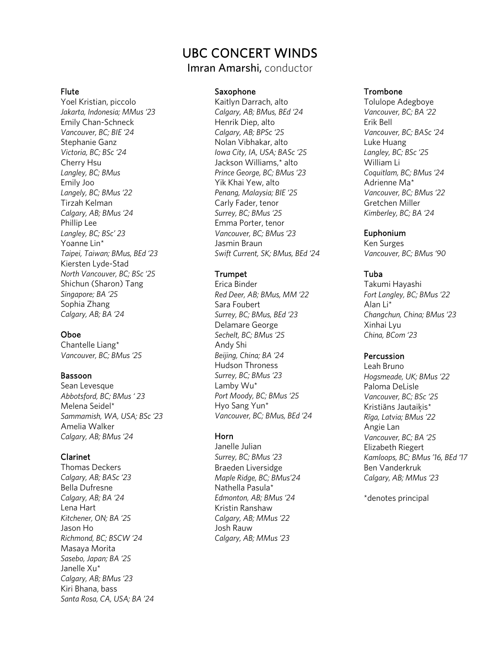## UBC CONCERT WINDS

Imran Amarshi, conductor

#### Flute

Yoel Kristian, piccolo *Jakarta, Indonesia; MMus '23* Emily Chan-Schneck *Vancouver, BC; BIE '24* Stephanie Ganz *Victoria, BC; BSc '24* Cherry Hsu *Langley, BC; BMus* Emily Joo *Langely, BC; BMus '22* Tirzah Kelman *Calgary, AB; BMus '24* Phillip Lee *Langley, BC; BSc' 23* Yoanne Lin\* *Taipei, Taiwan; BMus, BEd '23* Kiersten Lyde-Stad *North Vancouver, BC; BSc '25* Shichun (Sharon) Tang *Singapore; BA '25* Sophia Zhang *Calgary, AB; BA '24*

## Oboe

Chantelle Liang\* *Vancouver, BC; BMus '25*

#### Bassoon

Sean Levesque *Abbotsford, BC; BMus ' 23* Melena Seidel\* *Sammamish, WA, USA; BSc '23* Amelia Walker *Calgary, AB; BMus '24*

### Clarinet

Thomas Deckers *Calgary, AB; BASc '23* Bella Dufresne *Calgary, AB; BA '24* Lena Hart *Kitchener, ON; BA '25* Jason Ho *Richmond, BC; BSCW '24* Masaya Morita *Sasebo, Japan; BA '25* Janelle Xu\* *Calgary, AB; BMus '23* Kiri Bhana, bass *Santa Rosa, CA, USA; BA '24*

#### Saxophone

Kaitlyn Darrach, alto *Calgary, AB; BMus, BEd '24* Henrik Diep, alto *Calgary, AB; BPSc '25* Nolan Vibhakar, alto *Iowa City, IA, USA; BASc '25* Jackson Williams,\* alto *Prince George, BC; BMus '23* Yik Khai Yew, alto *Penang, Malaysia; BIE '25* Carly Fader, tenor *Surrey, BC; BMus '25* Emma Porter, tenor *Vancouver, BC; BMus '23* Jasmin Braun *Swift Current, SK; BMus, BEd '24*

#### Trumpet

Erica Binder *Red Deer, AB; BMus, MM '22* Sara Foubert *Surrey, BC; BMus, BEd '23* Delamare George *Sechelt, BC; BMus '25* Andy Shi *Beijing, China; BA '24* Hudson Throness *Surrey, BC; BMus '23* Lamby Wu\* *Port Moody, BC; BMus '25* Hyo Sang Yun\* *Vancouver, BC; BMus, BEd '24*

#### Horn

Janelle Julian *Surrey, BC; BMus '23* Braeden Liversidge *Maple Ridge, BC; BMus'24* Nathella Pasula\* *Edmonton, AB; BMus '24* Kristin Ranshaw *Calgary, AB; MMus '22* Josh Rauw *Calgary, AB; MMus '23*

#### Trombone

Tolulope Adegboye *Vancouver, BC; BA '22* Erik Bell *Vancouver, BC; BASc '24* Luke Huang *Langley, BC; BSc '25* William Li *Coquitlam, BC; BMus '24* Adrienne Ma\* *Vancouver, BC; BMus '22* Gretchen Miller *Kimberley, BC; BA '24*

#### Euphonium

Ken Surges *Vancouver, BC; BMus '90*

#### Tuba

Takumi Hayashi *Fort Langley, BC; BMus '22* Alan Li\* *Changchun, China; BMus '23* Xinhai Lyu *China, BCom '23*

#### **Percussion**

Leah Bruno *Hogsmeade, UK; BMus '22* Paloma DeLisle *Vancouver, BC; BSc '25* Kristiāns Jautaiķis\* *Rīga, Latvia; BMus '22* Angie Lan *Vancouver, BC; BA '25* Elizabeth Riegert *Kamloops, BC; BMus '16, BEd '17* Ben Vanderkruk *Calgary, AB; MMus '23*

\*denotes principal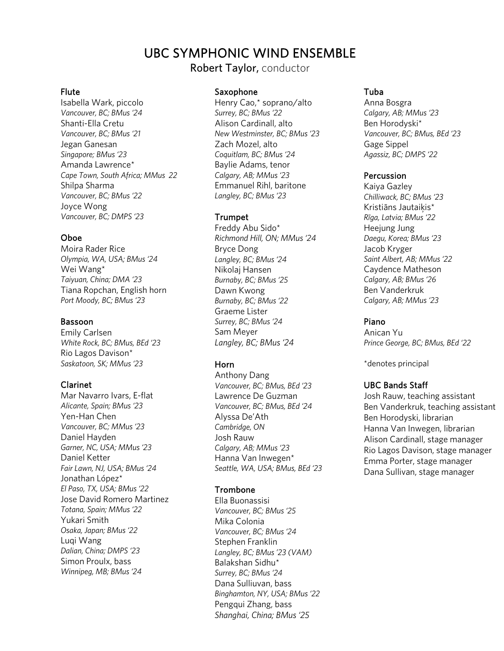# UBC SYMPHONIC WIND ENSEMBLE

Robert Taylor, conductor

#### Flute

Isabella Wark, piccolo *Vancouver, BC; BMus '24* Shanti-Ella Cretu *Vancouver, BC; BMus '21* Jegan Ganesan *Singapore; BMus '23* Amanda Lawrence\* *Cape Town, South Africa; MMus 22* Shilpa Sharma *Vancouver, BC; BMus '22* Joyce Wong *Vancouver, BC; DMPS '23*

### Oboe

Moira Rader Rice *Olympia, WA, USA; BMus '24* Wei Wang\* *Taiyuan, China; DMA '23* Tiana Ropchan, English horn *Port Moody, BC; BMus '23*

#### Bassoon

Emily Carlsen *White Rock, BC; BMus, BEd '23* Rio Lagos Davison\* *Saskatoon, SK; MMus '23*

#### Clarinet

Mar Navarro Ivars, E-flat *Alicante, Spain; BMus '23* Yen-Han Chen *Vancouver, BC; MMus '23* Daniel Hayden *Garner, NC, USA; MMus '23* Daniel Ketter *Fair Lawn, NJ, USA; BMus '24* Jonathan López\* *El Paso, TX, USA; BMus '22* Jose David Romero Martinez *Totana, Spain; MMus '22* Yukari Smith *Osaka, Japan; BMus '22* Luqi Wang *Dalian, China; DMPS '23* Simon Proulx, bass *Winnipeg, MB; BMus '24*

#### Saxophone

Henry Cao,\* soprano/alto *Surrey, BC; BMus '22* Alison Cardinall, alto *New Westminster, BC; BMus '23* Zach Mozel, alto *Coquitlam, BC; BMus '24* Baylie Adams, tenor *Calgary, AB; MMus '23* Emmanuel Rihl, baritone *Langley, BC; BMus '23*

#### Trumpet

Freddy Abu Sido\* *Richmond Hill, ON; MMus '24* Bryce Dong *Langley, BC; BMus '24* Nikolaj Hansen *Burnaby, BC; BMus '25* Dawn Kwong *Burnaby, BC; BMus '22* Graeme Lister *Surrey, BC; BMus '24* Sam Meyer *Langley, BC; BMus '24*

#### Horn

Anthony Dang *Vancouver, BC; BMus, BEd '23* Lawrence De Guzman *Vancouver, BC; BMus, BEd '24* Alyssa De'Ath *Cambridge, ON* Josh Rauw *Calgary, AB; MMus '23* Hanna Van Inwegen\* *Seattle, WA, USA; BMus, BEd '23*

### Trombone

Ella Buonassisi *Vancouver, BC; BMus '25* Mika Colonia *Vancouver, BC; BMus '24* Stephen Franklin *Langley, BC; BMus '23 (VAM)* Balakshan Sidhu\* *Surrey, BC; BMus '24* Dana Sulliuvan, bass *Binghamton, NY, USA; BMus '22* Pengqui Zhang, bass *Shanghai, China; BMus '25*

### Tuba

Anna Bosgra *Calgary, AB; MMus '23* Ben Horodyski\* *Vancouver, BC; BMus, BEd '23* Gage Sippel *Agassiz, BC; DMPS '22*

#### **Percussion**

Kaiya Gazley *Chilliwack, BC; BMus '23* Kristiāns Jautaiķis\* *Rīga, Latvia; BMus '22* Heejung Jung *Daegu, Korea; BMus '23* Jacob Kryger *Saint Albert, AB; MMus '22* Caydence Matheson *Calgary, AB; BMus '26* Ben Vanderkruk *Calgary, AB; MMus '23*

#### Piano

Anican Yu *Prince George, BC; BMus, BEd '22*

\*denotes principal

#### UBC Bands Staff

Josh Rauw, teaching assistant Ben Vanderkruk, teaching assistant Ben Horodyski, librarian Hanna Van Inwegen, librarian Alison Cardinall, stage manager Rio Lagos Davison, stage manager Emma Porter, stage manager Dana Sullivan, stage manager